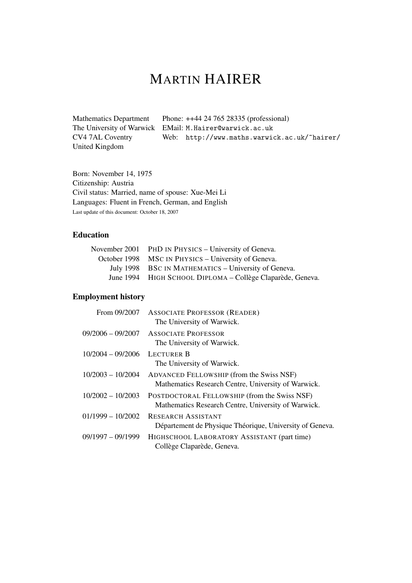# MARTIN HAIRER

Mathematics Department The University of Warwick EMail: M.Hairer@warwick.ac.uk CV4 7AL Coventry United Kingdom Phone: ++44 24 765 28335 (professional) Web: http://www.maths.warwick.ac.uk/~hairer/

Born: November 14, 1975 Citizenship: Austria Civil status: Married, name of spouse: Xue-Mei Li Languages: Fluent in French, German, and English Last update of this document: October 18, 2007

# Education

| November 2001 PHD IN PHYSICS – University of Geneva.       |
|------------------------------------------------------------|
| October 1998 MSC IN PHYSICS – University of Geneva.        |
| July 1998 BSC IN MATHEMATICS – University of Geneva.       |
| June 1994 HIGH SCHOOL DIPLOMA - Collège Claparède, Geneva. |

# Employment history

| From 09/2007        | <b>ASSOCIATE PROFESSOR (READER)</b><br>The University of Warwick.                                   |
|---------------------|-----------------------------------------------------------------------------------------------------|
| $09/2006 - 09/2007$ | <b>ASSOCIATE PROFESSOR</b><br>The University of Warwick.                                            |
| $10/2004 - 09/2006$ | <b>LECTURER B</b><br>The University of Warwick.                                                     |
| $10/2003 - 10/2004$ | ADVANCED FELLOWSHIP (from the Swiss NSF)<br>Mathematics Research Centre, University of Warwick.     |
| $10/2002 - 10/2003$ | POSTDOCTORAL FELLOWSHIP (from the Swiss NSF)<br>Mathematics Research Centre, University of Warwick. |
| $01/1999 - 10/2002$ | <b>RESEARCH ASSISTANT</b><br>Département de Physique Théorique, University of Geneva.               |
| $09/1997 - 09/1999$ | HIGHSCHOOL LABORATORY ASSISTANT (part time)<br>Collège Claparède, Geneva.                           |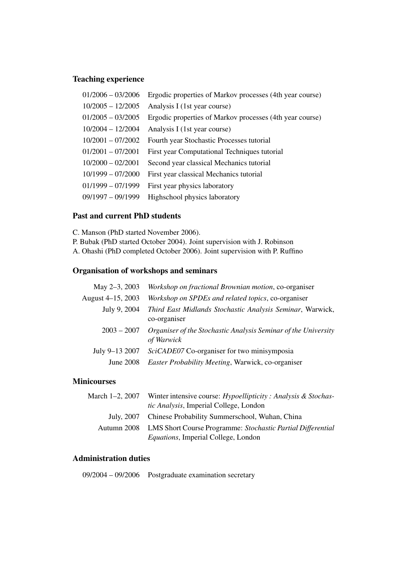# Teaching experience

| $01/2006 - 03/2006$ | Ergodic properties of Markov processes (4th year course) |
|---------------------|----------------------------------------------------------|
| $10/2005 - 12/2005$ | Analysis I (1st year course)                             |
| $01/2005 - 03/2005$ | Ergodic properties of Markov processes (4th year course) |
| $10/2004 - 12/2004$ | Analysis I (1st year course)                             |
| $10/2001 - 07/2002$ | Fourth year Stochastic Processes tutorial                |
| $01/2001 - 07/2001$ | First year Computational Techniques tutorial             |
| $10/2000 - 02/2001$ | Second year classical Mechanics tutorial                 |
| $10/1999 - 07/2000$ | First year classical Mechanics tutorial                  |
| $01/1999 - 07/1999$ | First year physics laboratory                            |
| $09/1997 - 09/1999$ | Highschool physics laboratory                            |
|                     |                                                          |

#### Past and current PhD students

- C. Manson (PhD started November 2006).
- P. Bubak (PhD started October 2004). Joint supervision with J. Robinson
- A. Ohashi (PhD completed October 2006). Joint supervision with P. Ruffino

# Organisation of workshops and seminars

| May 2-3, 2003     | Workshop on fractional Brownian motion, co-organiser                         |
|-------------------|------------------------------------------------------------------------------|
| August 4-15, 2003 | Workshop on SPDEs and related topics, co-organiser                           |
| July 9, 2004      | Third East Midlands Stochastic Analysis Seminar, Warwick,<br>co-organiser    |
| $2003 - 2007$     | Organiser of the Stochastic Analysis Seminar of the University<br>of Warwick |
| July 9-13 2007    | SciCADE07 Co-organiser for two minisymposia                                  |
| <b>June 2008</b>  | Easter Probability Meeting, Warwick, co-organiser                            |
|                   |                                                                              |

# **Minicourses**

| March 1–2, 2007 Winter intensive course: <i>Hypoellipticity</i> : <i>Analysis</i> & <i>Stochas-</i> |
|-----------------------------------------------------------------------------------------------------|
| tic Analysis, Imperial College, London                                                              |
| July, 2007 Chinese Probability Summerschool, Wuhan, China                                           |
| Autumn 2008 LMS Short Course Programme: Stochastic Partial Differential                             |
| <i>Equations</i> , Imperial College, London                                                         |

### Administration duties

09/2004 – 09/2006 Postgraduate examination secretary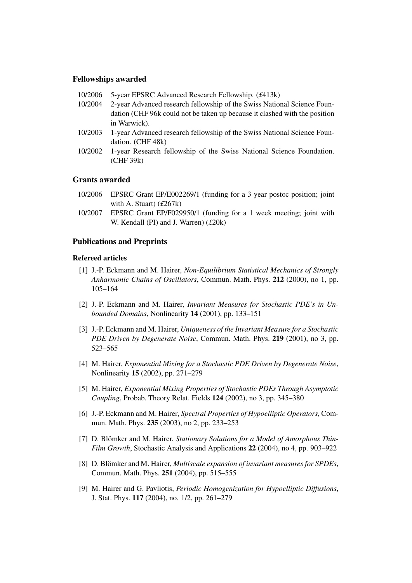#### Fellowships awarded

- 10/2006 5-year EPSRC Advanced Research Fellowship. (*£*413k)
- 10/2004 2-year Advanced research fellowship of the Swiss National Science Foundation (CHF 96k could not be taken up because it clashed with the position in Warwick).
- 10/2003 1-year Advanced research fellowship of the Swiss National Science Foundation. (CHF 48k)
- 10/2002 1-year Research fellowship of the Swiss National Science Foundation. (CHF 39k)

#### Grants awarded

- 10/2006 EPSRC Grant EP/E002269/1 (funding for a 3 year postoc position; joint with A. Stuart) (*£*267k)
- 10/2007 EPSRC Grant EP/F029950/1 (funding for a 1 week meeting; joint with W. Kendall (PI) and J. Warren) (*£*20k)

#### Publications and Preprints

#### Refereed articles

- [1] J.-P. Eckmann and M. Hairer, *Non-Equilibrium Statistical Mechanics of Strongly Anharmonic Chains of Oscillators*, Commun. Math. Phys. 212 (2000), no 1, pp. 105–164
- [2] J.-P. Eckmann and M. Hairer, *Invariant Measures for Stochastic PDE's in Unbounded Domains*, Nonlinearity 14 (2001), pp. 133–151
- [3] J.-P. Eckmann and M. Hairer, *Uniqueness of the Invariant Measure for a Stochastic PDE Driven by Degenerate Noise*, Commun. Math. Phys. 219 (2001), no 3, pp. 523–565
- [4] M. Hairer, *Exponential Mixing for a Stochastic PDE Driven by Degenerate Noise*, Nonlinearity 15 (2002), pp. 271–279
- [5] M. Hairer, *Exponential Mixing Properties of Stochastic PDEs Through Asymptotic Coupling*, Probab. Theory Relat. Fields 124 (2002), no 3, pp. 345–380
- [6] J.-P. Eckmann and M. Hairer, *Spectral Properties of Hypoelliptic Operators*, Commun. Math. Phys. 235 (2003), no 2, pp. 233–253
- [7] D. Blömker and M. Hairer, *Stationary Solutions for a Model of Amorphous Thin-Film Growth*, Stochastic Analysis and Applications 22 (2004), no 4, pp. 903–922
- [8] D. Blömker and M. Hairer, *Multiscale expansion of invariant measures for SPDEs*, Commun. Math. Phys. 251 (2004), pp. 515–555
- [9] M. Hairer and G. Pavliotis, *Periodic Homogenization for Hypoelliptic Diffusions*, J. Stat. Phys. 117 (2004), no. 1/2, pp. 261–279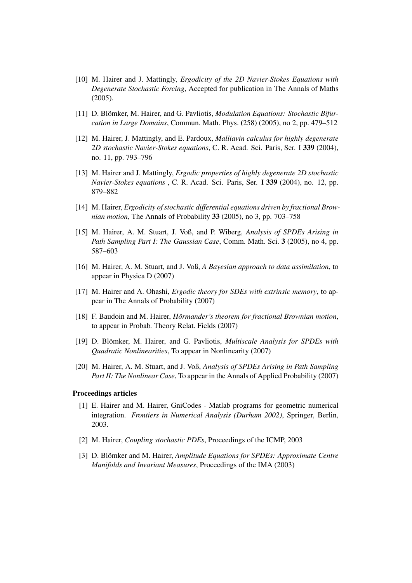- [10] M. Hairer and J. Mattingly, *Ergodicity of the 2D Navier-Stokes Equations with Degenerate Stochastic Forcing*, Accepted for publication in The Annals of Maths (2005).
- [11] D. Blömker, M. Hairer, and G. Pavliotis, *Modulation Equations: Stochastic Bifurcation in Large Domains*, Commun. Math. Phys. (258) (2005), no 2, pp. 479–512
- [12] M. Hairer, J. Mattingly, and E. Pardoux, *Malliavin calculus for highly degenerate 2D stochastic Navier-Stokes equations*, C. R. Acad. Sci. Paris, Ser. I 339 (2004), no. 11, pp. 793–796
- [13] M. Hairer and J. Mattingly, *Ergodic properties of highly degenerate 2D stochastic Navier-Stokes equations* , C. R. Acad. Sci. Paris, Ser. I 339 (2004), no. 12, pp. 879–882
- [14] M. Hairer, *Ergodicity of stochastic differential equations driven by fractional Brownian motion*, The Annals of Probability 33 (2005), no 3, pp. 703–758
- [15] M. Hairer, A. M. Stuart, J. Voß, and P. Wiberg, *Analysis of SPDEs Arising in Path Sampling Part I: The Gaussian Case*, Comm. Math. Sci. 3 (2005), no 4, pp. 587–603
- [16] M. Hairer, A. M. Stuart, and J. Voß, *A Bayesian approach to data assimilation*, to appear in Physica D (2007)
- [17] M. Hairer and A. Ohashi, *Ergodic theory for SDEs with extrinsic memory*, to appear in The Annals of Probability (2007)
- [18] F. Baudoin and M. Hairer, *Hörmander's theorem for fractional Brownian motion*, to appear in Probab. Theory Relat. Fields (2007)
- [19] D. Blömker, M. Hairer, and G. Pavliotis, *Multiscale Analysis for SPDEs with Quadratic Nonlinearities*, To appear in Nonlinearity (2007)
- [20] M. Hairer, A. M. Stuart, and J. Voß, *Analysis of SPDEs Arising in Path Sampling Part II: The Nonlinear Case*, To appear in the Annals of Applied Probability (2007)

#### Proceedings articles

- [1] E. Hairer and M. Hairer, GniCodes Matlab programs for geometric numerical integration. *Frontiers in Numerical Analysis (Durham 2002)*, Springer, Berlin, 2003.
- [2] M. Hairer, *Coupling stochastic PDEs*, Proceedings of the ICMP, 2003
- [3] D. Blömker and M. Hairer, *Amplitude Equations for SPDEs: Approximate Centre Manifolds and Invariant Measures*, Proceedings of the IMA (2003)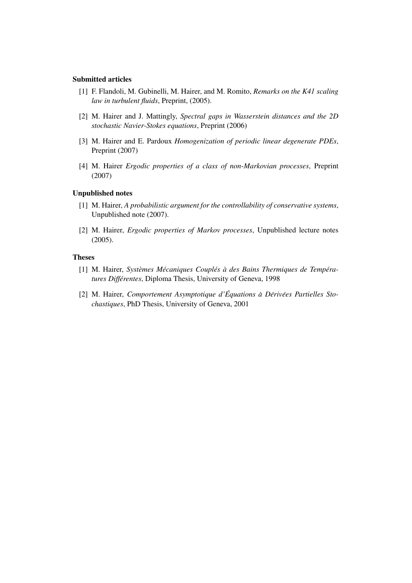#### Submitted articles

- [1] F. Flandoli, M. Gubinelli, M. Hairer, and M. Romito, *Remarks on the K41 scaling law in turbulent fluids*, Preprint, (2005).
- [2] M. Hairer and J. Mattingly, *Spectral gaps in Wasserstein distances and the 2D stochastic Navier-Stokes equations*, Preprint (2006)
- [3] M. Hairer and E. Pardoux *Homogenization of periodic linear degenerate PDEs*, Preprint (2007)
- [4] M. Hairer *Ergodic properties of a class of non-Markovian processes*, Preprint (2007)

#### Unpublished notes

- [1] M. Hairer, *A probabilistic argument for the controllability of conservative systems*, Unpublished note (2007).
- [2] M. Hairer, *Ergodic properties of Markov processes*, Unpublished lecture notes (2005).

#### Theses

- [1] M. Hairer, *Systemes M ` ecaniques Coupl ´ es´ a des Bains Thermiques de Temp ` era- ´ tures Différentes*, Diploma Thesis, University of Geneva, 1998
- [2] M. Hairer, *Comportement Asymptotique d'Equations ´ a D` eriv ´ ees Partielles Sto- ´ chastiques*, PhD Thesis, University of Geneva, 2001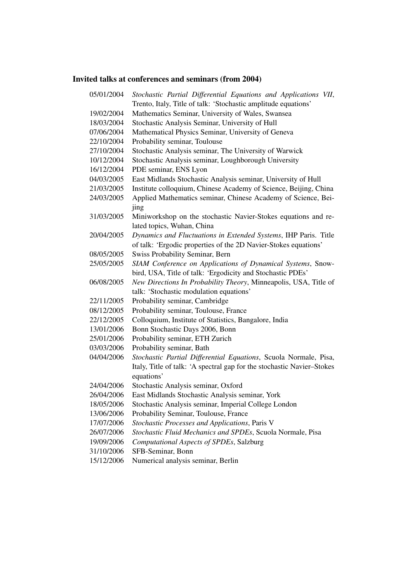# Invited talks at conferences and seminars (from 2004)

| 05/01/2004 | Stochastic Partial Differential Equations and Applications VII,        |
|------------|------------------------------------------------------------------------|
|            | Trento, Italy, Title of talk: 'Stochastic amplitude equations'         |
| 19/02/2004 | Mathematics Seminar, University of Wales, Swansea                      |
| 18/03/2004 | Stochastic Analysis Seminar, University of Hull                        |
| 07/06/2004 | Mathematical Physics Seminar, University of Geneva                     |
| 22/10/2004 | Probability seminar, Toulouse                                          |
| 27/10/2004 | Stochastic Analysis seminar, The University of Warwick                 |
| 10/12/2004 | Stochastic Analysis seminar, Loughborough University                   |
| 16/12/2004 | PDE seminar, ENS Lyon                                                  |
| 04/03/2005 | East Midlands Stochastic Analysis seminar, University of Hull          |
| 21/03/2005 | Institute colloquium, Chinese Academy of Science, Beijing, China       |
| 24/03/2005 | Applied Mathematics seminar, Chinese Academy of Science, Bei-          |
|            | jing                                                                   |
| 31/03/2005 | Miniworkshop on the stochastic Navier-Stokes equations and re-         |
|            | lated topics, Wuhan, China                                             |
| 20/04/2005 | Dynamics and Fluctuations in Extended Systems, IHP Paris. Title        |
|            | of talk: 'Ergodic properties of the 2D Navier-Stokes equations'        |
| 08/05/2005 | Swiss Probability Seminar, Bern                                        |
| 25/05/2005 | SIAM Conference on Applications of Dynamical Systems, Snow-            |
|            | bird, USA, Title of talk: 'Ergodicity and Stochastic PDEs'             |
| 06/08/2005 | New Directions In Probability Theory, Minneapolis, USA, Title of       |
|            | talk: 'Stochastic modulation equations'                                |
| 22/11/2005 | Probability seminar, Cambridge                                         |
| 08/12/2005 | Probability seminar, Toulouse, France                                  |
| 22/12/2005 | Colloquium, Institute of Statistics, Bangalore, India                  |
| 13/01/2006 | Bonn Stochastic Days 2006, Bonn                                        |
| 25/01/2006 | Probability seminar, ETH Zurich                                        |
| 03/03/2006 | Probability seminar, Bath                                              |
| 04/04/2006 | Stochastic Partial Differential Equations, Scuola Normale, Pisa,       |
|            | Italy, Title of talk: 'A spectral gap for the stochastic Navier-Stokes |
|            | equations'                                                             |
| 24/04/2006 | Stochastic Analysis seminar, Oxford                                    |
| 26/04/2006 | East Midlands Stochastic Analysis seminar, York                        |
| 18/05/2006 | Stochastic Analysis seminar, Imperial College London                   |
| 13/06/2006 | Probability Seminar, Toulouse, France                                  |
| 17/07/2006 | Stochastic Processes and Applications, Paris V                         |
| 26/07/2006 | Stochastic Fluid Mechanics and SPDEs, Scuola Normale, Pisa             |
| 19/09/2006 | Computational Aspects of SPDEs, Salzburg                               |
| 31/10/2006 | SFB-Seminar, Bonn                                                      |

15/12/2006 Numerical analysis seminar, Berlin